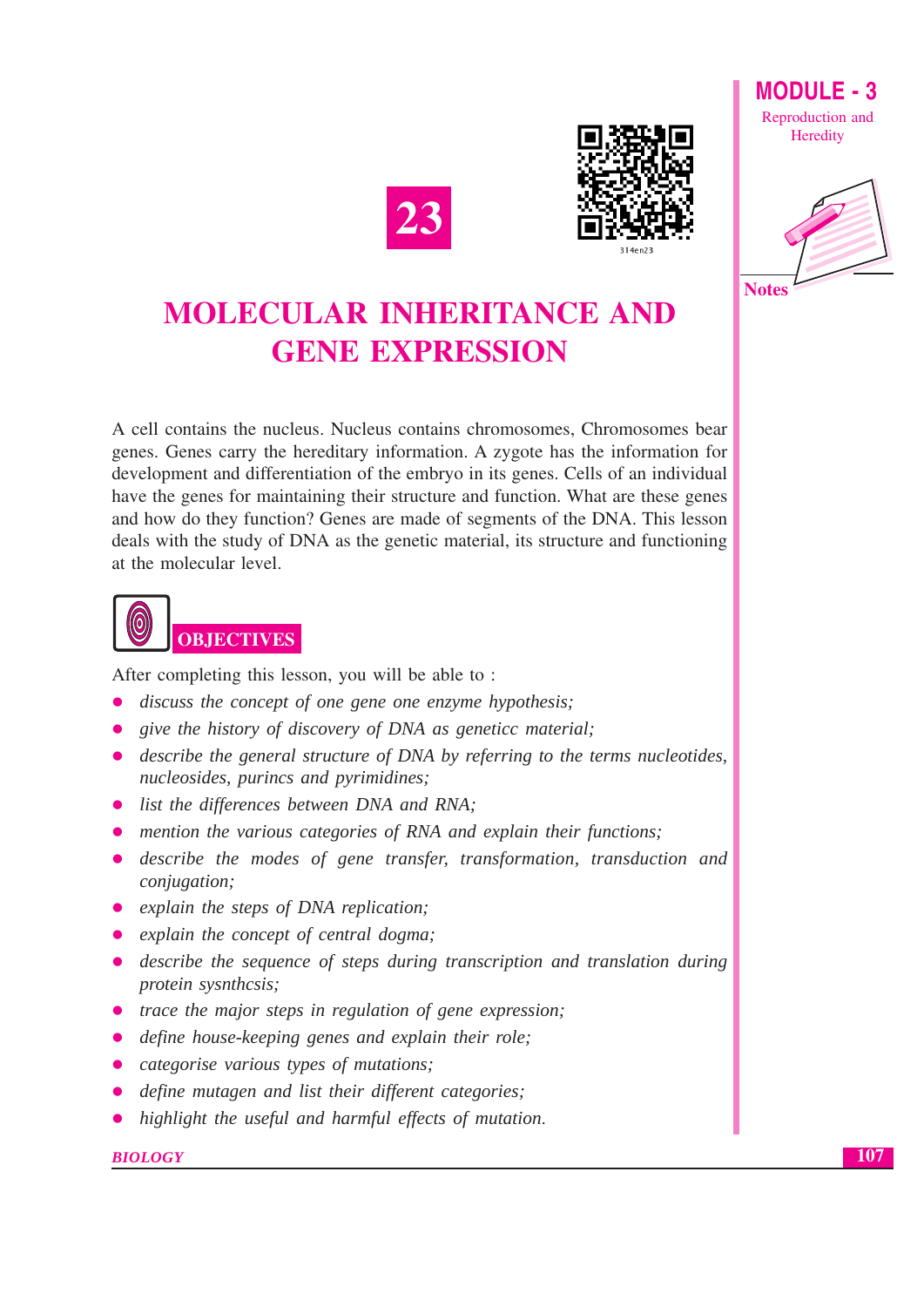



# **MOLECULAR INHERITANCE AND GENE EXPRESSION**

A cell contains the nucleus. Nucleus contains chromosomes, Chromosomes bear genes. Genes carry the hereditary information. A zygote has the information for development and differentiation of the embryo in its genes. Cells of an individual have the genes for maintaining their structure and function. What are these genes and how do they function? Genes are made of segments of the DNA. This lesson deals with the study of DNA as the genetic material, its structure and functioning at the molecular level.



After completing this lesson, you will be able to:

- discuss the concept of one gene one enzyme hypothesis;
- give the history of discovery of DNA as genetice material;
- describe the general structure of DNA by referring to the terms nucleotides, nucleosides, purincs and pyrimidines;
- list the differences between DNA and RNA;
- mention the various categories of RNA and explain their functions;
- describe the modes of gene transfer, transformation, transduction and conjugation;
- explain the steps of DNA replication;
- explain the concept of central dogma;
- describe the sequence of steps during transcription and translation during protein sysnthcsis;
- trace the major steps in regulation of gene expression;
- define house-keeping genes and explain their role;
- categorise various types of mutations;
- define mutagen and list their different categories;
- highlight the useful and harmful effects of mutation.

#### **BIOLOGY**

107



**MODULE - 3** Reproduction and Heredity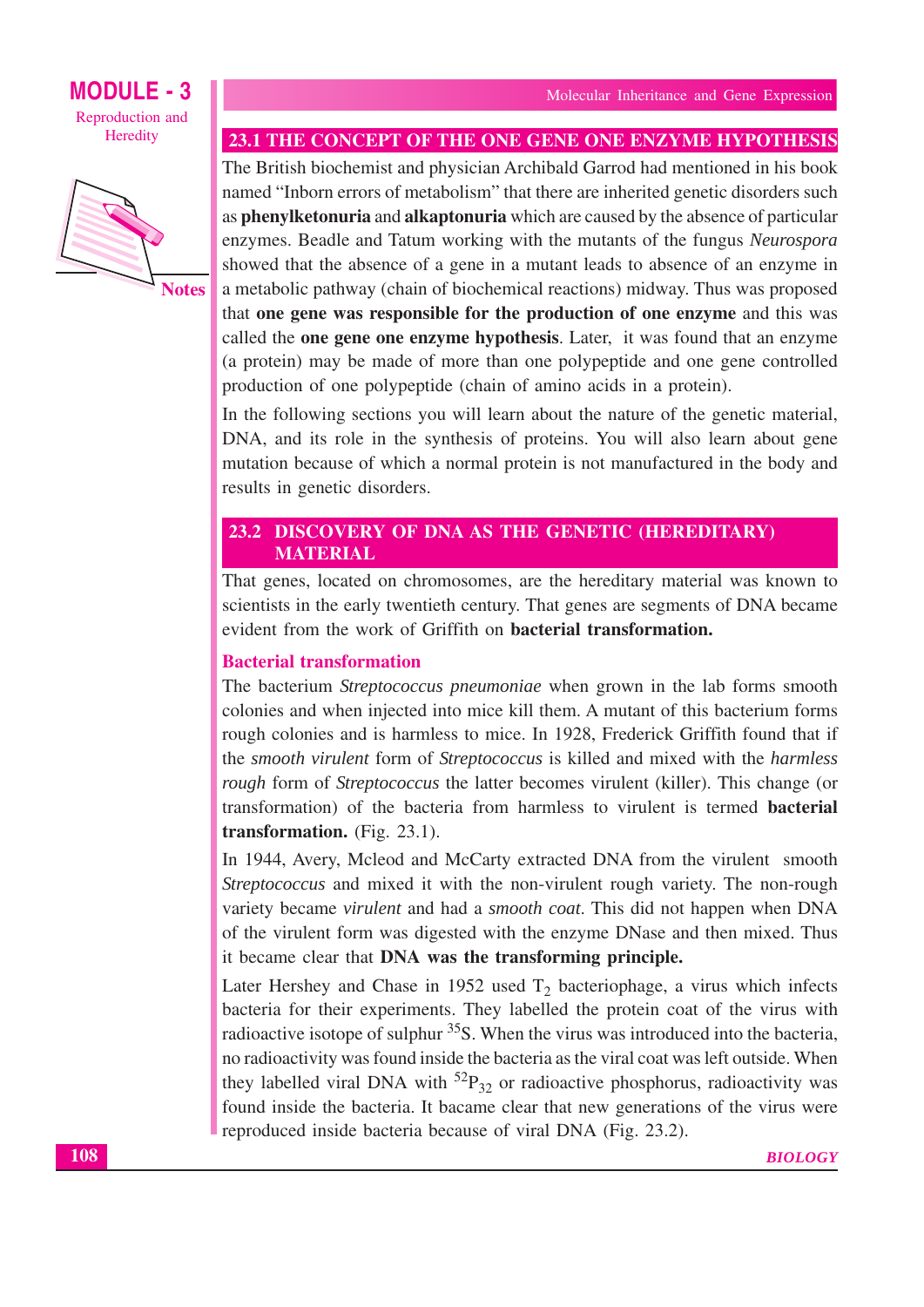

23.1 THE CONCEPT OF THE ONE GENE ONE ENZYME HYPOTHESIS

The British biochemist and physician Archibald Garrod had mentioned in his book named "Inborn errors of metabolism" that there are inherited genetic disorders such as phenylketonuria and alkaptonuria which are caused by the absence of particular enzymes. Beadle and Tatum working with the mutants of the fungus Neurospora showed that the absence of a gene in a mutant leads to absence of an enzyme in a metabolic pathway (chain of biochemical reactions) midway. Thus was proposed that one gene was responsible for the production of one enzyme and this was called the **one gene one enzyme hypothesis**. Later, it was found that an enzyme (a protein) may be made of more than one polypeptide and one gene controlled production of one polypeptide (chain of amino acids in a protein).

In the following sections you will learn about the nature of the genetic material, DNA, and its role in the synthesis of proteins. You will also learn about gene mutation because of which a normal protein is not manufactured in the body and results in genetic disorders.

## 23.2 DISCOVERY OF DNA AS THE GENETIC (HEREDITARY) **MATERIAL**

That genes, located on chromosomes, are the hereditary material was known to scientists in the early twentieth century. That genes are segments of DNA became evident from the work of Griffith on **bacterial transformation.** 

### **Bacterial transformation**

The bacterium Streptococcus pneumoniae when grown in the lab forms smooth colonies and when injected into mice kill them. A mutant of this bacterium forms rough colonies and is harmless to mice. In 1928, Frederick Griffith found that if the smooth virulent form of Streptococcus is killed and mixed with the harmless *rough* form of *Streptococcus* the latter becomes virulent (killer). This change (or transformation) of the bacteria from harmless to virulent is termed **bacterial** transformation. (Fig. 23.1).

In 1944, Avery, Mcleod and McCarty extracted DNA from the virulent smooth Streptococcus and mixed it with the non-virulent rough variety. The non-rough variety became virulent and had a smooth coat. This did not happen when DNA of the virulent form was digested with the enzyme DNase and then mixed. Thus it became clear that DNA was the transforming principle.

Later Hershey and Chase in 1952 used  $T_2$  bacteriophage, a virus which infects bacteria for their experiments. They labelled the protein coat of the virus with radioactive isotope of sulphur <sup>35</sup>S. When the virus was introduced into the bacteria, no radioactivity was found inside the bacteria as the viral coat was left outside. When they labelled viral DNA with  ${}^{52}P_{32}$  or radioactive phosphorus, radioactivity was found inside the bacteria. It bacame clear that new generations of the virus were reproduced inside bacteria because of viral DNA (Fig. 23.2).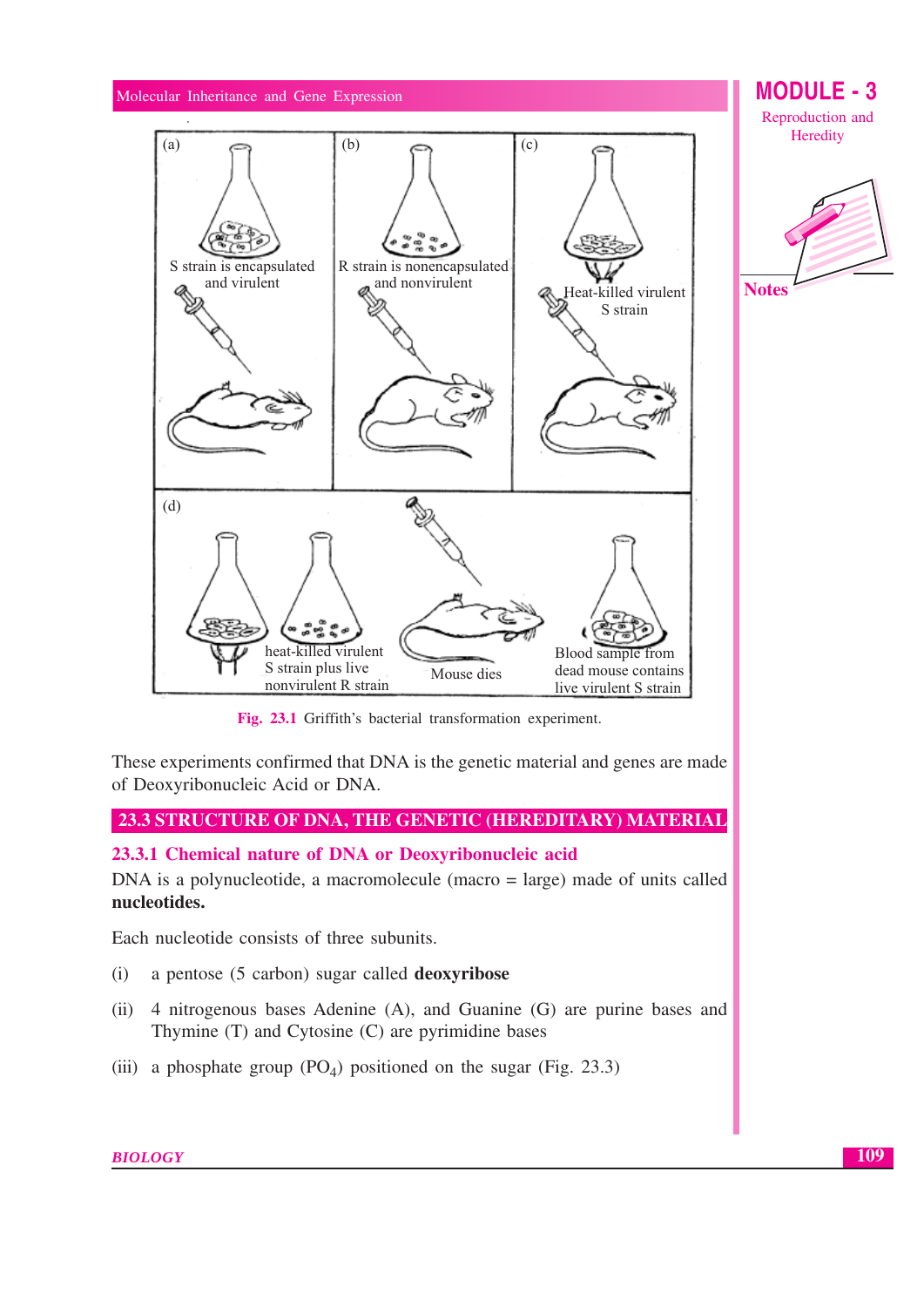

Fig. 23.1 Griffith's bacterial transformation experiment.

These experiments confirmed that DNA is the genetic material and genes are made of Deoxyribonucleic Acid or DNA.

## 23.3 STRUCTURE OF DNA, THE GENETIC (HEREDITARY) MATERIAL

### 23.3.1 Chemical nature of DNA or Deoxyribonucleic acid

DNA is a polynucleotide, a macromolecule (macro  $=$  large) made of units called nucleotides.

Each nucleotide consists of three subunits.

- a pentose (5 carbon) sugar called deoxyribose  $(i)$
- (ii) 4 nitrogenous bases Adenine (A), and Guanine (G) are purine bases and Thymine (T) and Cytosine (C) are pyrimidine bases
- (iii) a phosphate group  $(PO<sub>A</sub>)$  positioned on the sugar (Fig. 23.3)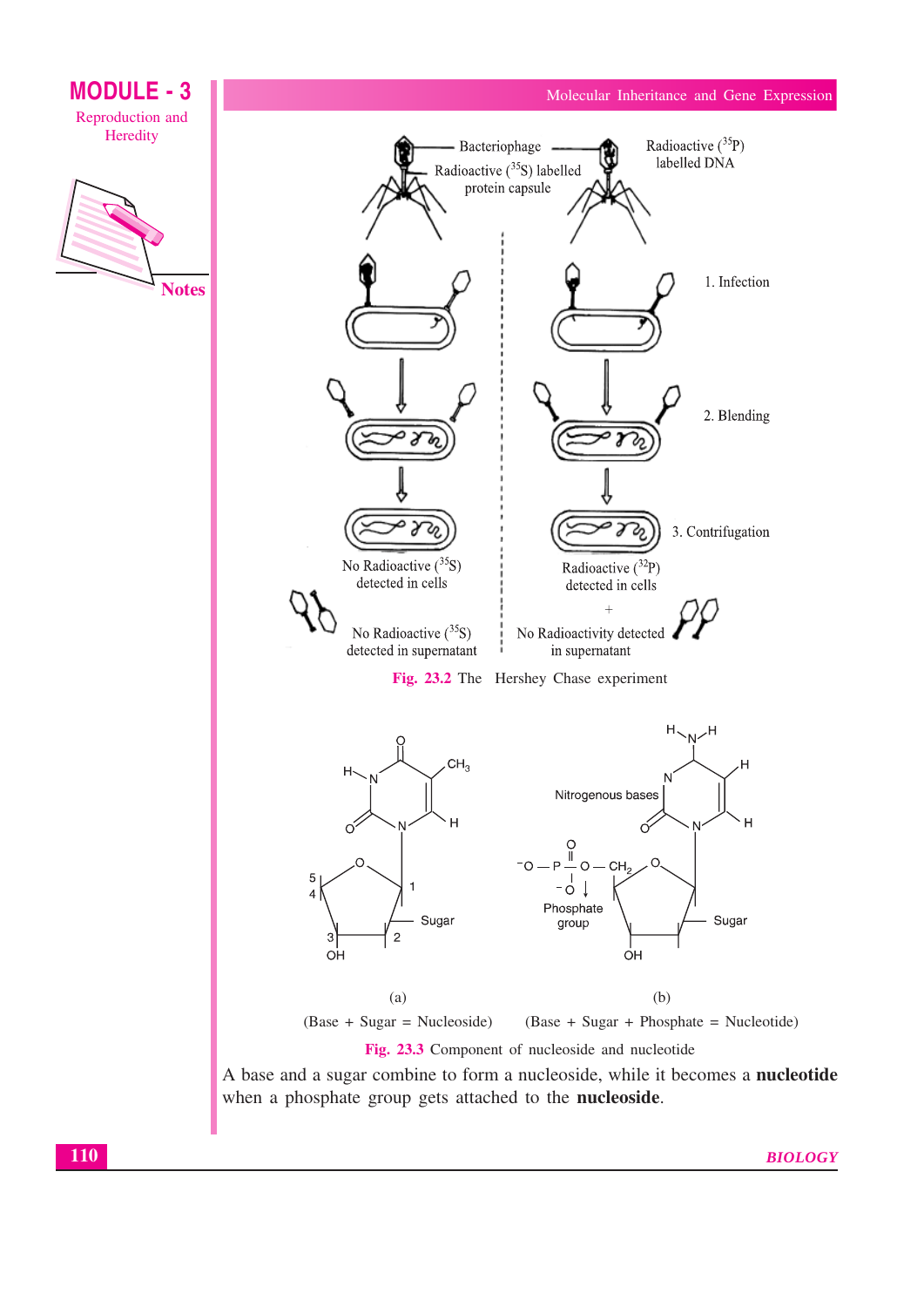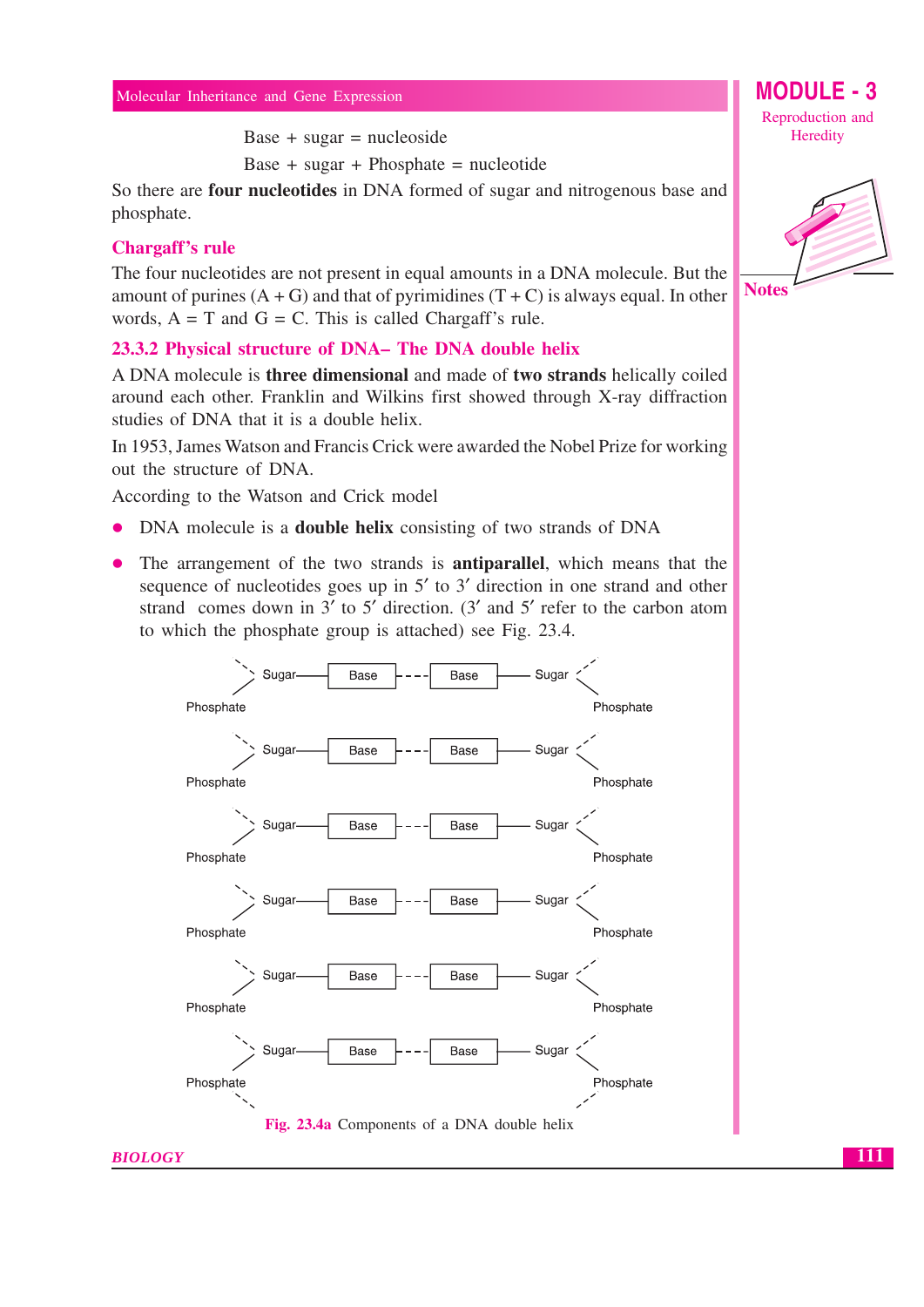Base + sugar = nucleoside

Base + sugar + Phosphate = nucleotide

So there are four nucleotides in DNA formed of sugar and nitrogenous base and phosphate.

#### **Chargaff's rule**

The four nucleotides are not present in equal amounts in a DNA molecule. But the amount of purines  $(A + G)$  and that of pyrimidines  $(T + C)$  is always equal. In other words,  $A = T$  and  $G = C$ . This is called Chargaff's rule.

#### 23.3.2 Physical structure of DNA– The DNA double helix

A DNA molecule is **three dimensional** and made of **two strands** helically coiled around each other. Franklin and Wilkins first showed through X-ray diffraction studies of DNA that it is a double helix.

In 1953, James Watson and Francis Crick were awarded the Nobel Prize for working out the structure of DNA.

According to the Watson and Crick model

- DNA molecule is a **double helix** consisting of two strands of DNA
- The arrangement of the two strands is **antiparallel**, which means that the sequence of nucleotides goes up in 5' to 3' direction in one strand and other strand comes down in  $3'$  to  $5'$  direction. (3' and  $5'$  refer to the carbon atom to which the phosphate group is attached) see Fig. 23.4.



Reproduction and Heredity

**MODULE - 3** 



111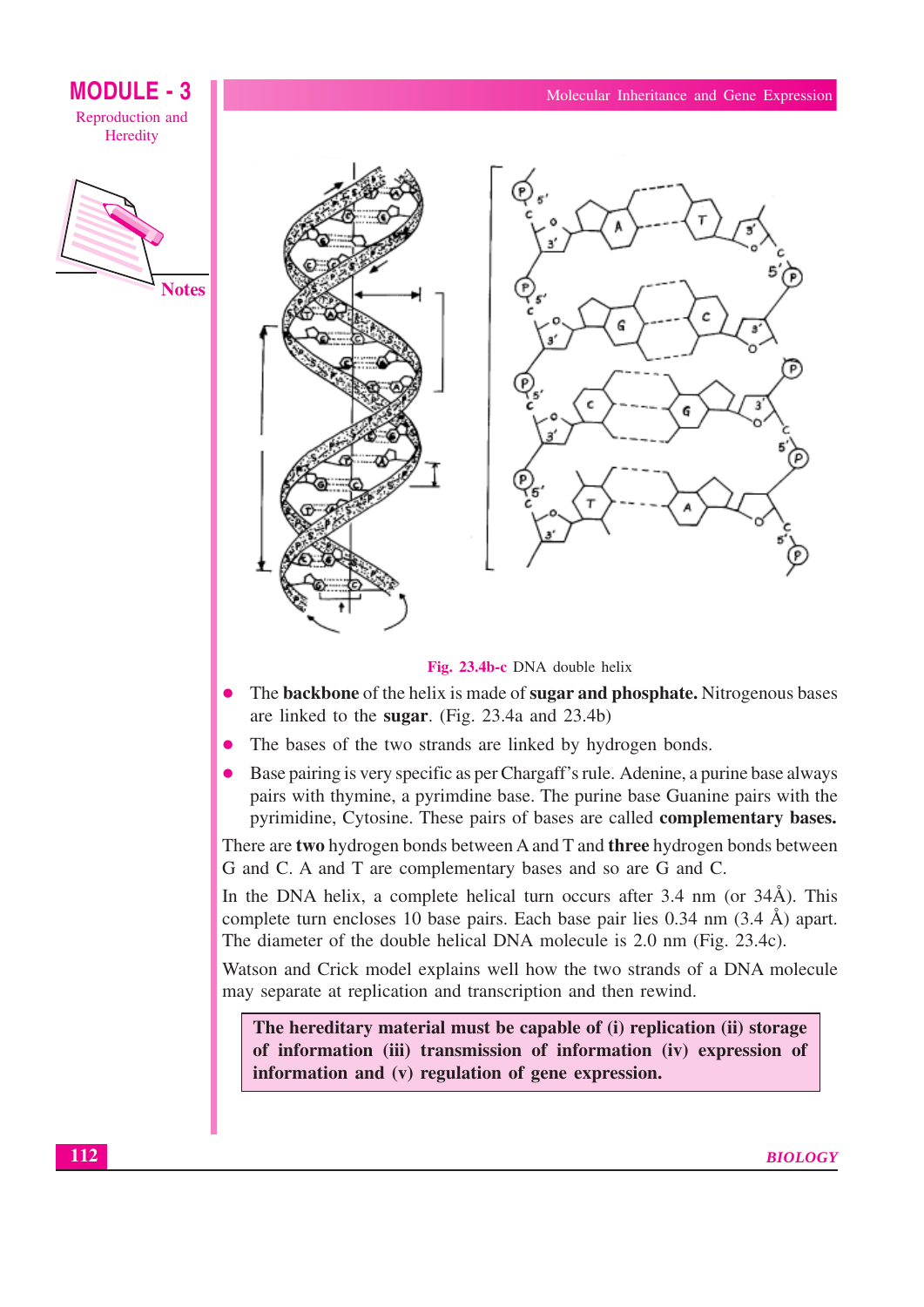



#### Fig. 23.4b-c DNA double helix

- The backbone of the helix is made of sugar and phosphate. Nitrogenous bases are linked to the sugar. (Fig. 23.4a and 23.4b)
- The bases of the two strands are linked by hydrogen bonds.
- Base pairing is very specific as per Chargaff's rule. Adenine, a purine base always pairs with thymine, a pyrimdine base. The purine base Guanine pairs with the pyrimidine, Cytosine. These pairs of bases are called **complementary bases.**

There are two hydrogen bonds between A and T and three hydrogen bonds between G and C. A and T are complementary bases and so are G and C.

In the DNA helix, a complete helical turn occurs after 3.4 nm (or 34Å). This complete turn encloses 10 base pairs. Each base pair lies 0.34 nm (3.4 Å) apart. The diameter of the double helical DNA molecule is 2.0 nm (Fig. 23.4c).

Watson and Crick model explains well how the two strands of a DNA molecule may separate at replication and transcription and then rewind.

The hereditary material must be capable of (i) replication (ii) storage of information (iii) transmission of information (iv) expression of information and (v) regulation of gene expression.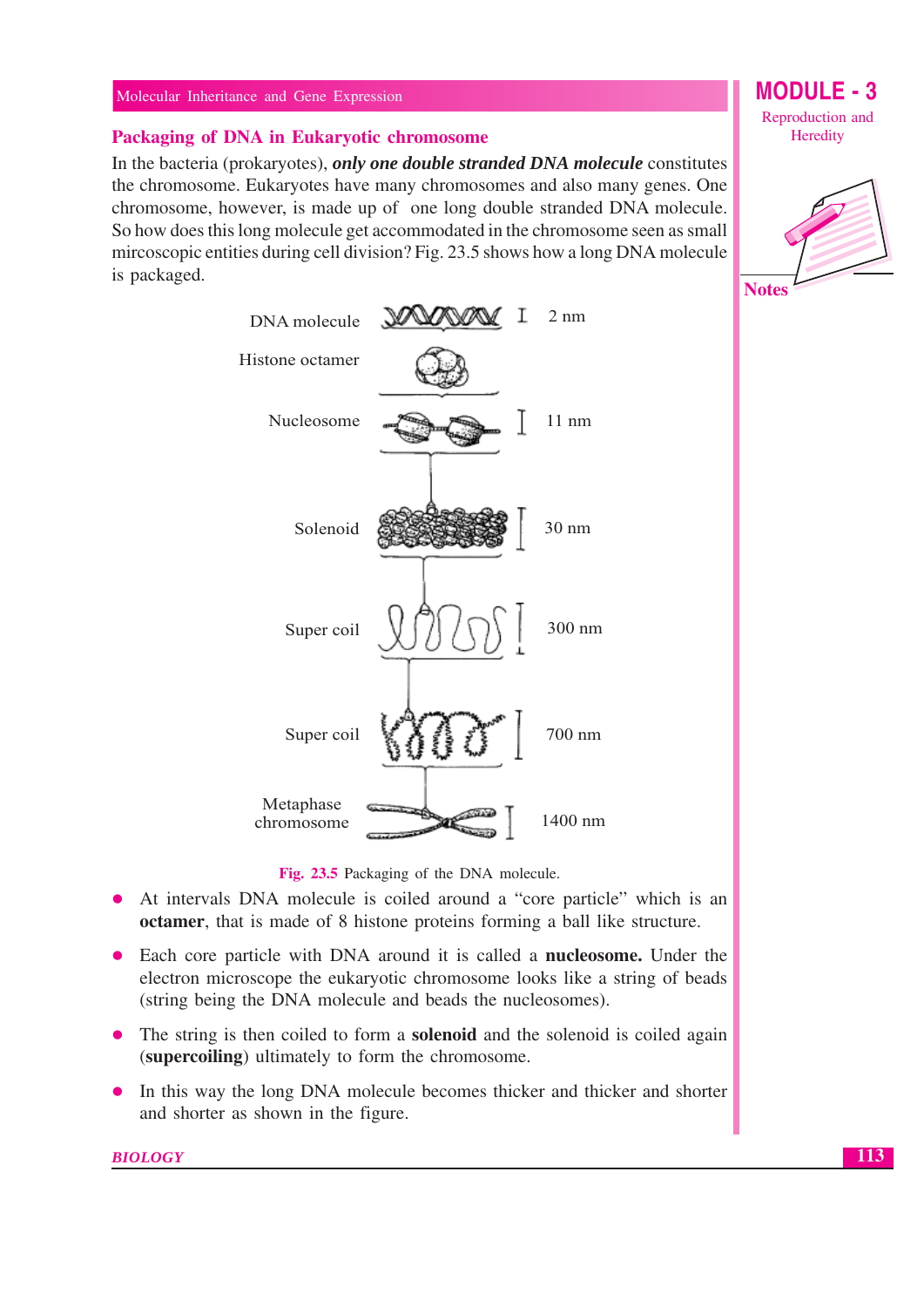#### Packaging of DNA in Eukaryotic chromosome

In the bacteria (prokaryotes), only one double stranded DNA molecule constitutes the chromosome. Eukaryotes have many chromosomes and also many genes. One chromosome, however, is made up of one long double stranded DNA molecule. So how does this long molecule get accommodated in the chromosome seen as small mircoscopic entities during cell division? Fig. 23.5 shows how a long DNA molecule is packaged.



**MODULE - 3** Reproduction and

Heredity



Fig. 23.5 Packaging of the DNA molecule.

- At intervals DNA molecule is coiled around a "core particle" which is an  $\bullet$ octamer, that is made of 8 histone proteins forming a ball like structure.
- Each core particle with DNA around it is called a **nucleosome**. Under the electron microscope the eukaryotic chromosome looks like a string of beads (string being the DNA molecule and beads the nucleosomes).
- The string is then coiled to form a **solenoid** and the solenoid is coiled again (supercoiling) ultimately to form the chromosome.
- In this way the long DNA molecule becomes thicker and thicker and shorter  $\bullet$ and shorter as shown in the figure.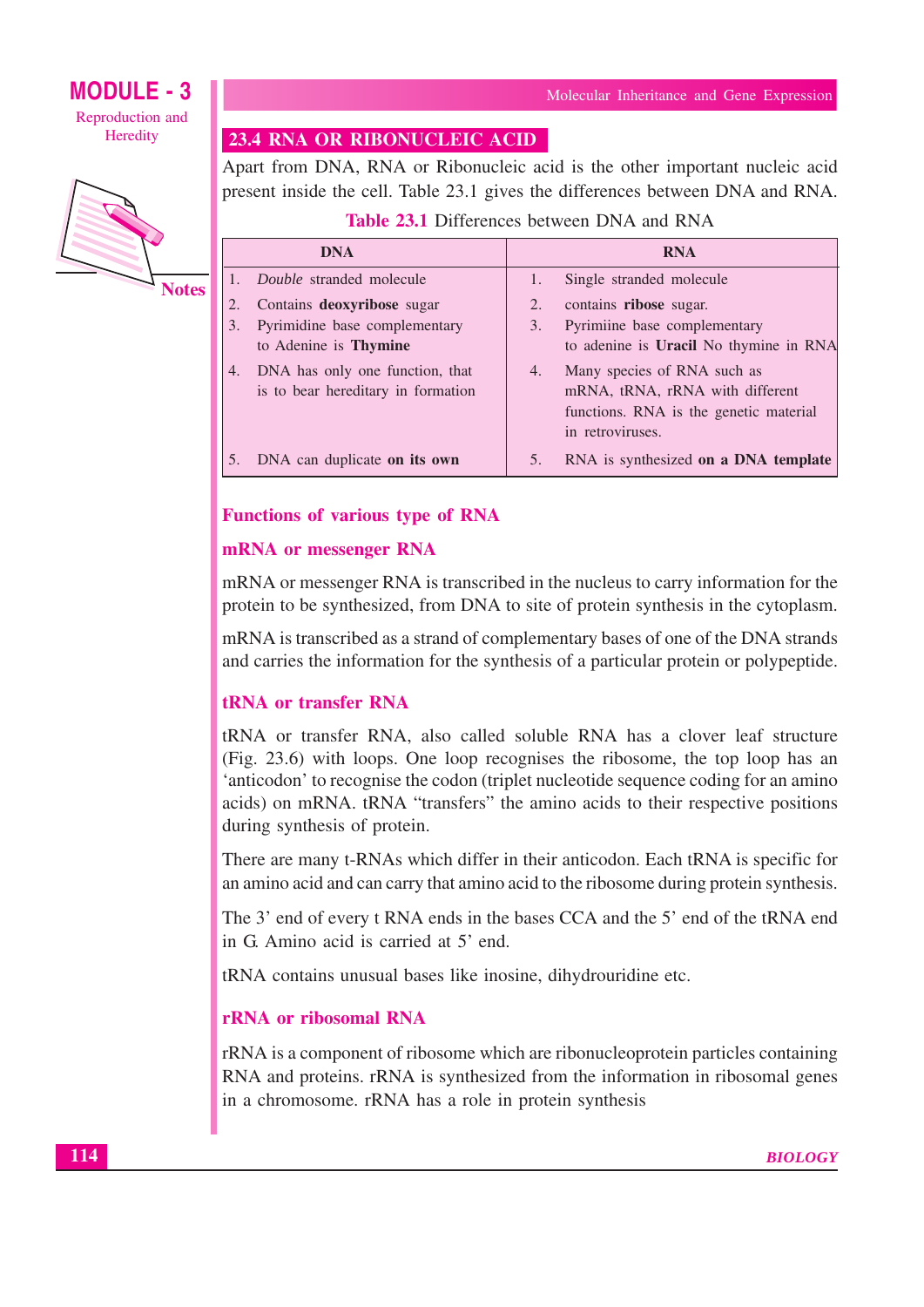## **MODULE - 3** Reproduction and

Heredity



**Notes** 

## 23.4 RNA OR RIBONUCLEIC ACID

Apart from DNA, RNA or Ribonucleic acid is the other important nucleic acid present inside the cell. Table 23.1 gives the differences between DNA and RNA.

**Table 23.1 Differences between DNA and RNA** 

|    | <b>DNA</b>                                                               |    | <b>RNA</b>                                                                                                                   |
|----|--------------------------------------------------------------------------|----|------------------------------------------------------------------------------------------------------------------------------|
|    | <i>Double</i> stranded molecule                                          |    | Single stranded molecule                                                                                                     |
| 2. | Contains deoxyribose sugar                                               | 2. | contains ribose sugar.                                                                                                       |
| 3. | Pyrimidine base complementary                                            | 3. | Pyrimiine base complementary                                                                                                 |
|    | to Adenine is <b>Thymine</b>                                             |    | to adenine is Uracil No thymine in RNA                                                                                       |
|    | 4. DNA has only one function, that<br>is to bear hereditary in formation | 4. | Many species of RNA such as<br>mRNA, tRNA, rRNA with different<br>functions. RNA is the genetic material<br>in retroviruses. |
|    | DNA can duplicate on its own                                             | 5. | RNA is synthesized on a DNA template                                                                                         |

## **Functions of various type of RNA**

### mRNA or messenger RNA

mRNA or messenger RNA is transcribed in the nucleus to carry information for the protein to be synthesized, from DNA to site of protein synthesis in the cytoplasm.

mRNA is transcribed as a strand of complementary bases of one of the DNA strands and carries the information for the synthesis of a particular protein or polypeptide.

## **tRNA** or transfer RNA

tRNA or transfer RNA, also called soluble RNA has a clover leaf structure (Fig. 23.6) with loops. One loop recognises the ribosome, the top loop has an 'anticodon' to recognise the codon (triplet nucleotide sequence coding for an amino acids) on mRNA. tRNA "transfers" the amino acids to their respective positions during synthesis of protein.

There are many t-RNAs which differ in their anticodon. Each tRNA is specific for an amino acid and can carry that amino acid to the ribosome during protein synthesis.

The 3' end of every t RNA ends in the bases CCA and the 5' end of the tRNA end in G. Amino acid is carried at 5' end.

tRNA contains unusual bases like inosine, dihydrouridine etc.

## **rRNA** or ribosomal RNA

rRNA is a component of ribosome which are ribonucleoprotein particles containing RNA and proteins. rRNA is synthesized from the information in ribosomal genes in a chromosome. rRNA has a role in protein synthesis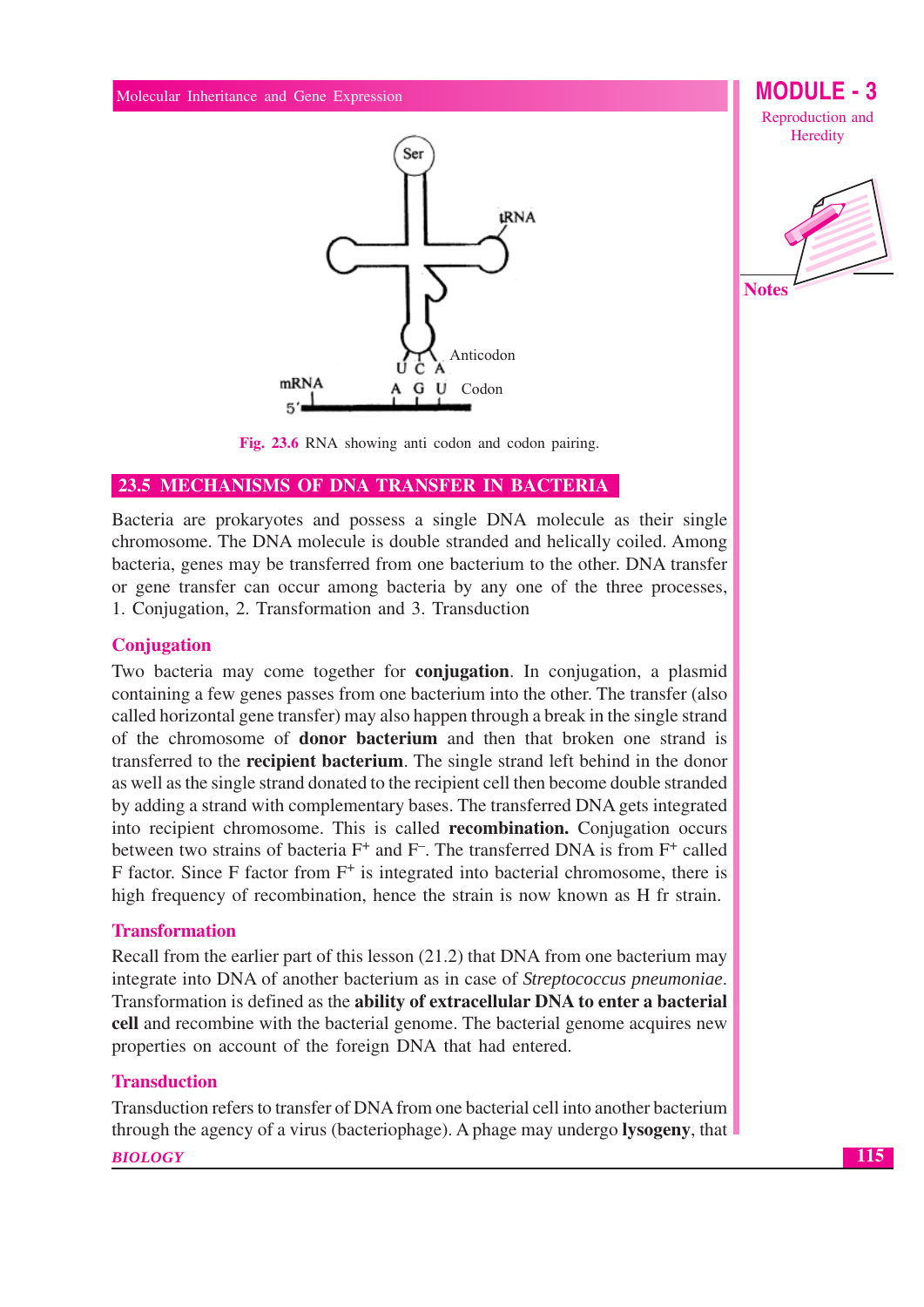

**MODULE - 3** Reproduction and Heredity



Fig. 23.6 RNA showing anti codon and codon pairing.

### 23.5 MECHANISMS OF DNA TRANSFER IN BACTERIA

Bacteria are prokaryotes and possess a single DNA molecule as their single chromosome. The DNA molecule is double stranded and helically coiled. Among bacteria, genes may be transferred from one bacterium to the other. DNA transfer or gene transfer can occur among bacteria by any one of the three processes, 1. Conjugation, 2. Transformation and 3. Transduction

#### Conjugation

Two bacteria may come together for **conjugation**. In conjugation, a plasmid containing a few genes passes from one bacterium into the other. The transfer (also called horizontal gene transfer) may also happen through a break in the single strand of the chromosome of **donor bacterium** and then that broken one strand is transferred to the **recipient bacterium**. The single strand left behind in the donor as well as the single strand donated to the recipient cell then become double stranded by adding a strand with complementary bases. The transferred DNA gets integrated into recipient chromosome. This is called **recombination.** Conjugation occurs between two strains of bacteria F<sup>+</sup> and F<sup>-</sup>. The transferred DNA is from F<sup>+</sup> called F factor. Since F factor from  $F^+$  is integrated into bacterial chromosome, there is high frequency of recombination, hence the strain is now known as H fr strain.

#### **Transformation**

Recall from the earlier part of this lesson (21.2) that DNA from one bacterium may integrate into DNA of another bacterium as in case of *Streptococcus pneumoniae*. Transformation is defined as the ability of extracellular DNA to enter a bacterial cell and recombine with the bacterial genome. The bacterial genome acquires new properties on account of the foreign DNA that had entered.

#### **Transduction**

Transduction refers to transfer of DNA from one bacterial cell into another bacterium through the agency of a virus (bacteriophage). A phage may undergo **lysogeny**, that

#### **BIOLOGY**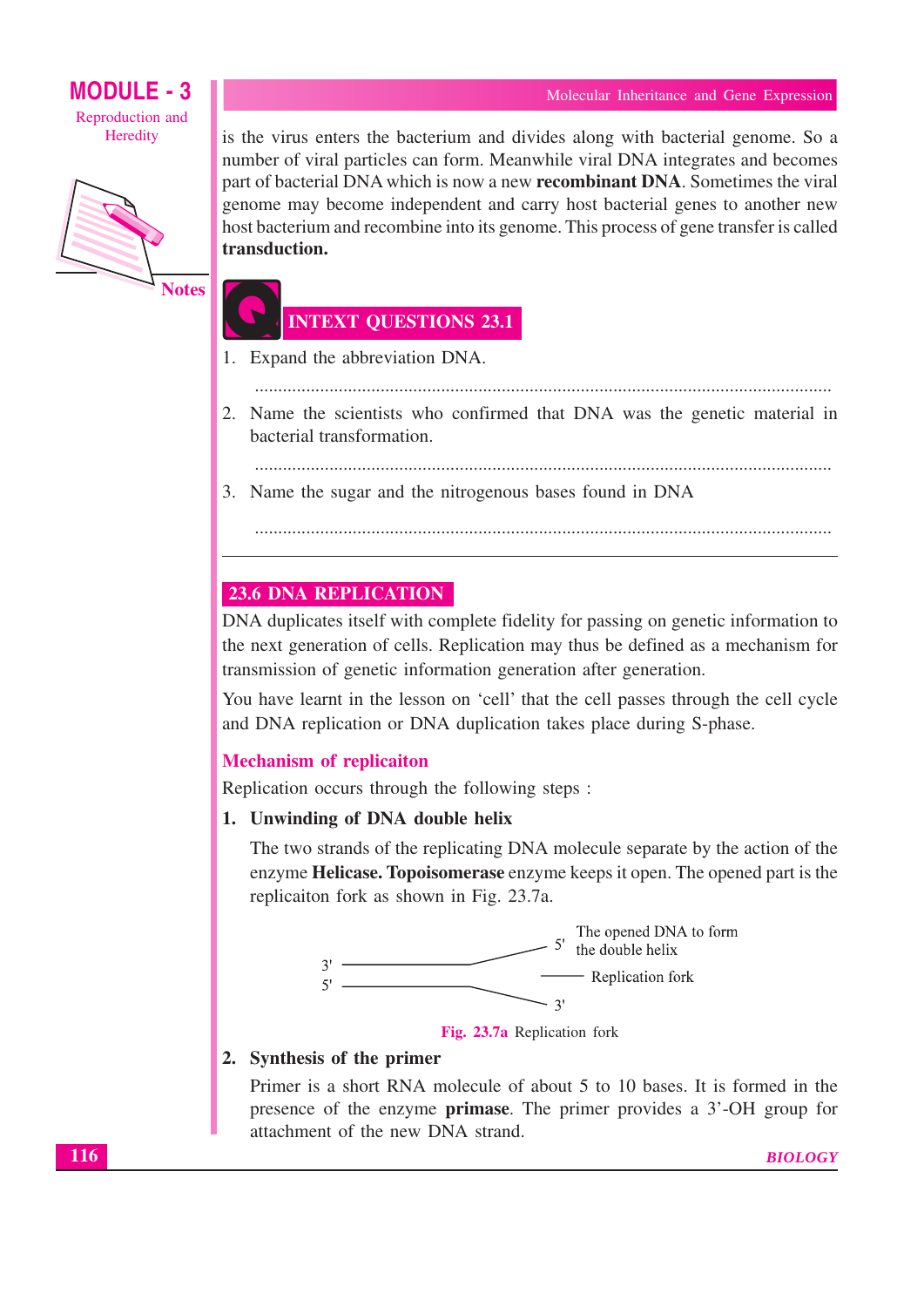

**Notes** 

is the virus enters the bacterium and divides along with bacterial genome. So a number of viral particles can form. Meanwhile viral DNA integrates and becomes part of bacterial DNA which is now a new **recombinant DNA**. Sometimes the viral genome may become independent and carry host bacterial genes to another new host bacterium and recombine into its genome. This process of gene transfer is called transduction.

## **INTEXT QUESTIONS 23.1**

- 1. Expand the abbreviation DNA.
- 2. Name the scientists who confirmed that DNA was the genetic material in bacterial transformation.

- 3. Name the sugar and the nitrogenous bases found in DNA
	-

### **23.6 DNA REPLICATION**

DNA duplicates itself with complete fidelity for passing on genetic information to the next generation of cells. Replication may thus be defined as a mechanism for transmission of genetic information generation after generation.

You have learnt in the lesson on 'cell' that the cell passes through the cell cycle and DNA replication or DNA duplication takes place during S-phase.

#### **Mechanism of replicaiton**

Replication occurs through the following steps :

1. Unwinding of DNA double helix

The two strands of the replicating DNA molecule separate by the action of the enzyme Helicase. Topoisomerase enzyme keeps it open. The opened part is the replicaiton fork as shown in Fig. 23.7a.





#### 2. Synthesis of the primer

Primer is a short RNA molecule of about 5 to 10 bases. It is formed in the presence of the enzyme **primase**. The primer provides a 3'-OH group for attachment of the new DNA strand.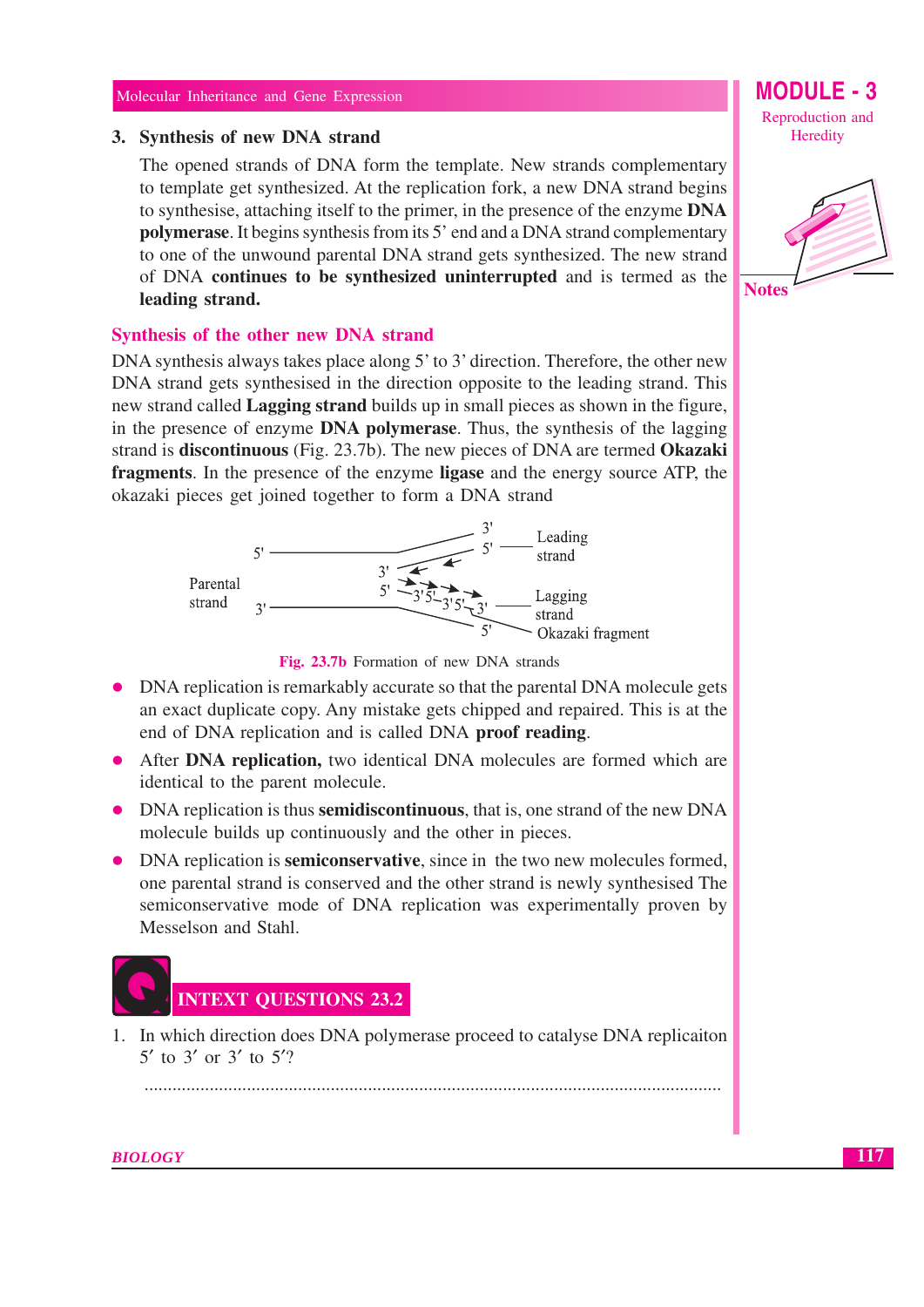#### 3. Synthesis of new DNA strand

The opened strands of DNA form the template. New strands complementary to template get synthesized. At the replication fork, a new DNA strand begins to synthesise, attaching itself to the primer, in the presence of the enzyme DNA **polymerase.** It begins synthesis from its 5' end and a DNA strand complementary to one of the unwound parental DNA strand gets synthesized. The new strand of DNA continues to be synthesized uninterrupted and is termed as the leading strand.

#### Synthesis of the other new DNA strand

DNA synthesis always takes place along 5' to 3' direction. Therefore, the other new DNA strand gets synthesised in the direction opposite to the leading strand. This new strand called **Lagging strand** builds up in small pieces as shown in the figure, in the presence of enzyme DNA polymerase. Thus, the synthesis of the lagging strand is **discontinuous** (Fig. 23.7b). The new pieces of DNA are termed **Okazaki** fragments. In the presence of the enzyme ligase and the energy source ATP, the okazaki pieces get joined together to form a DNA strand





- DNA replication is remarkably accurate so that the parental DNA molecule gets an exact duplicate copy. Any mistake gets chipped and repaired. This is at the end of DNA replication and is called DNA proof reading.
- After DNA replication, two identical DNA molecules are formed which are identical to the parent molecule.
- DNA replication is thus **semidiscontinuous**, that is, one strand of the new DNA molecule builds up continuously and the other in pieces.
- DNA replication is **semiconservative**, since in the two new molecules formed, one parental strand is conserved and the other strand is newly synthesised The semiconservative mode of DNA replication was experimentally proven by Messelson and Stahl.



1. In which direction does DNA polymerase proceed to catalyse DNA replicaiton 5' to 3' or 3' to 5'?

MODULE - 3 Reproduction and Heredity

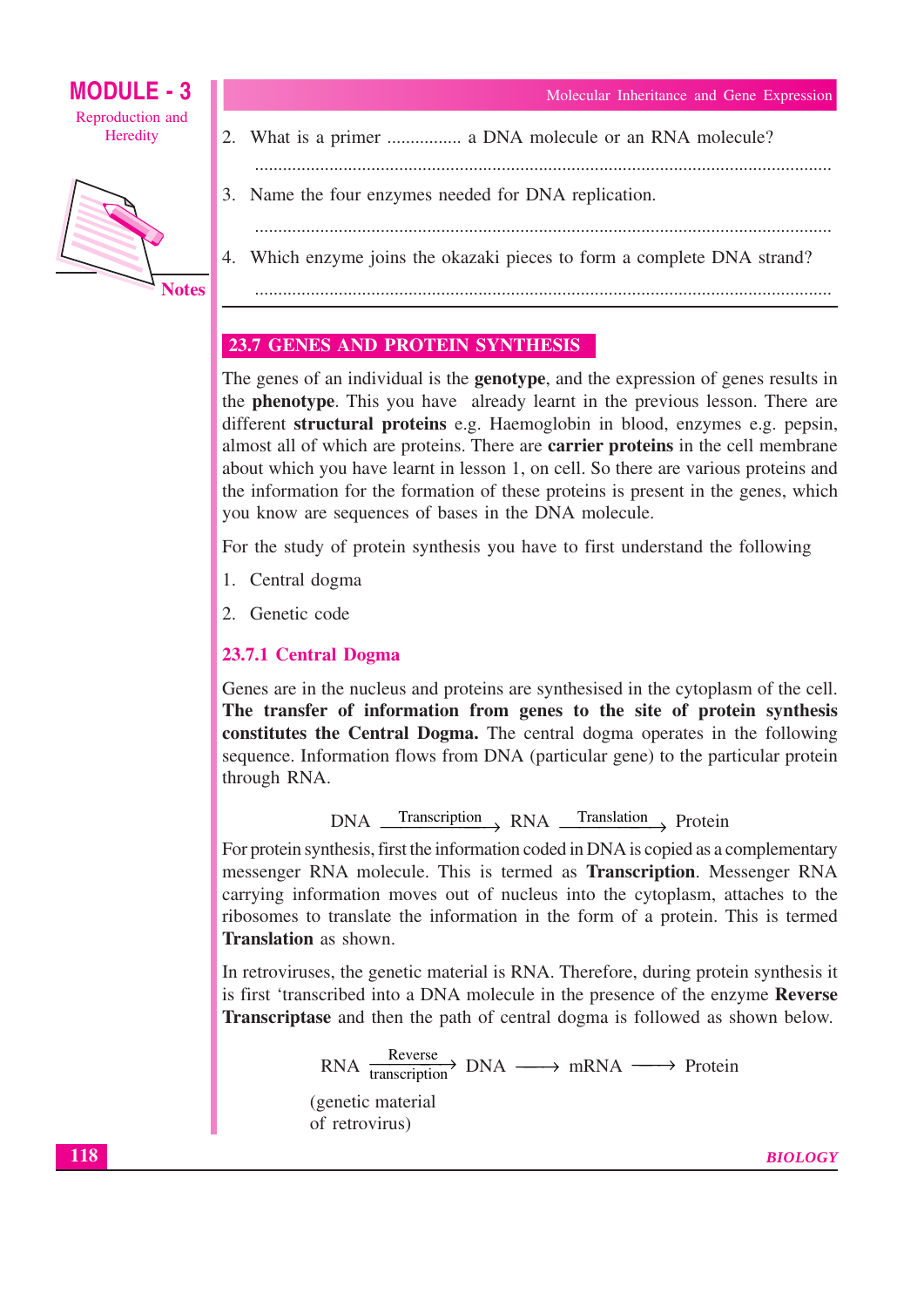**MODULE - 3** Reproduction and Heredity



3. Name the four enzymes needed for DNA replication.

4. Which enzyme joins the okazaki pieces to form a complete DNA strand?

2. What is a primer ................ a DNA molecule or an RNA molecule?

## **23.7 GENES AND PROTEIN SYNTHESIS**

The genes of an individual is the **genotype**, and the expression of genes results in the **phenotype**. This you have already learnt in the previous lesson. There are different structural proteins e.g. Haemoglobin in blood, enzymes e.g. pepsin, almost all of which are proteins. There are **carrier proteins** in the cell membrane about which you have learnt in lesson 1, on cell. So there are various proteins and the information for the formation of these proteins is present in the genes, which you know are sequences of bases in the DNA molecule.

For the study of protein synthesis you have to first understand the following

- 1. Central dogma
- 2. Genetic code

## 23.7.1 Central Dogma

Genes are in the nucleus and proteins are synthesised in the cytoplasm of the cell. The transfer of information from genes to the site of protein synthesis constitutes the Central Dogma. The central dogma operates in the following sequence. Information flows from DNA (particular gene) to the particular protein through RNA.

DNA Transcription RNA Translation Protein

For protein synthesis, first the information coded in DNA is copied as a complementary messenger RNA molecule. This is termed as **Transcription**. Messenger RNA carrying information moves out of nucleus into the cytoplasm, attaches to the ribosomes to translate the information in the form of a protein. This is termed **Translation** as shown

In retroviruses, the genetic material is RNA. Therefore, during protein synthesis it is first 'transcribed into a DNA molecule in the presence of the enzyme Reverse **Transcriptase** and then the path of central dogma is followed as shown below.

$$
RNA \xrightarrow{Reverse} DNA \longrightarrow mRNA \longrightarrow
$$
Protein  
\n(genetic material  
\nof retrovirus)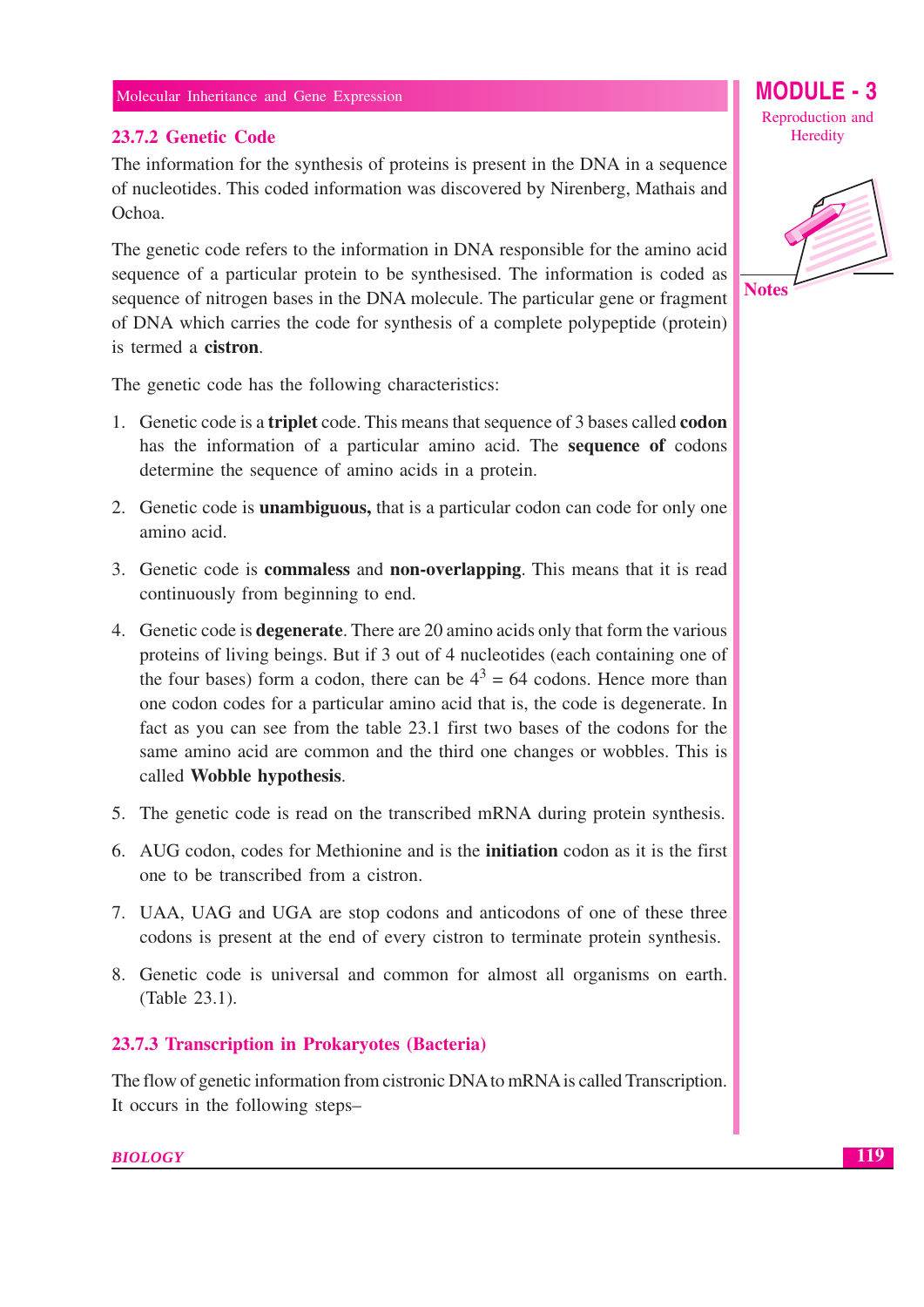## 23.7.2 Genetic Code

The information for the synthesis of proteins is present in the DNA in a sequence of nucleotides. This coded information was discovered by Nirenberg, Mathais and Ochoa.

The genetic code refers to the information in DNA responsible for the amino acid sequence of a particular protein to be synthesised. The information is coded as sequence of nitrogen bases in the DNA molecule. The particular gene or fragment of DNA which carries the code for synthesis of a complete polypeptide (protein) is termed a **cistron**.

The genetic code has the following characteristics:

- 1. Genetic code is a **triplet** code. This means that sequence of 3 bases called **codon** has the information of a particular amino acid. The sequence of codons determine the sequence of amino acids in a protein.
- 2. Genetic code is **unambiguous**, that is a particular codon can code for only one amino acid.
- 3. Genetic code is **commaless** and **non-overlapping**. This means that it is read continuously from beginning to end.
- 4. Genetic code is **degenerate**. There are 20 amino acids only that form the various proteins of living beings. But if 3 out of 4 nucleotides (each containing one of the four bases) form a codon, there can be  $4^3 = 64$  codons. Hence more than one codon codes for a particular amino acid that is, the code is degenerate. In fact as you can see from the table 23.1 first two bases of the codons for the same amino acid are common and the third one changes or wobbles. This is called Wobble hypothesis.
- 5. The genetic code is read on the transcribed mRNA during protein synthesis.
- 6. AUG codon, codes for Methionine and is the **initiation** codon as it is the first one to be transcribed from a cistron.
- 7. UAA, UAG and UGA are stop codons and anticodons of one of these three codons is present at the end of every cistron to terminate protein synthesis.
- 8. Genetic code is universal and common for almost all organisms on earth. (Table 23.1).

## 23.7.3 Transcription in Prokaryotes (Bacteria)

The flow of genetic information from cistronic DNA to mRNA is called Transcription. It occurs in the following stepsMODULE -  $3$ Reproduction and Heredity

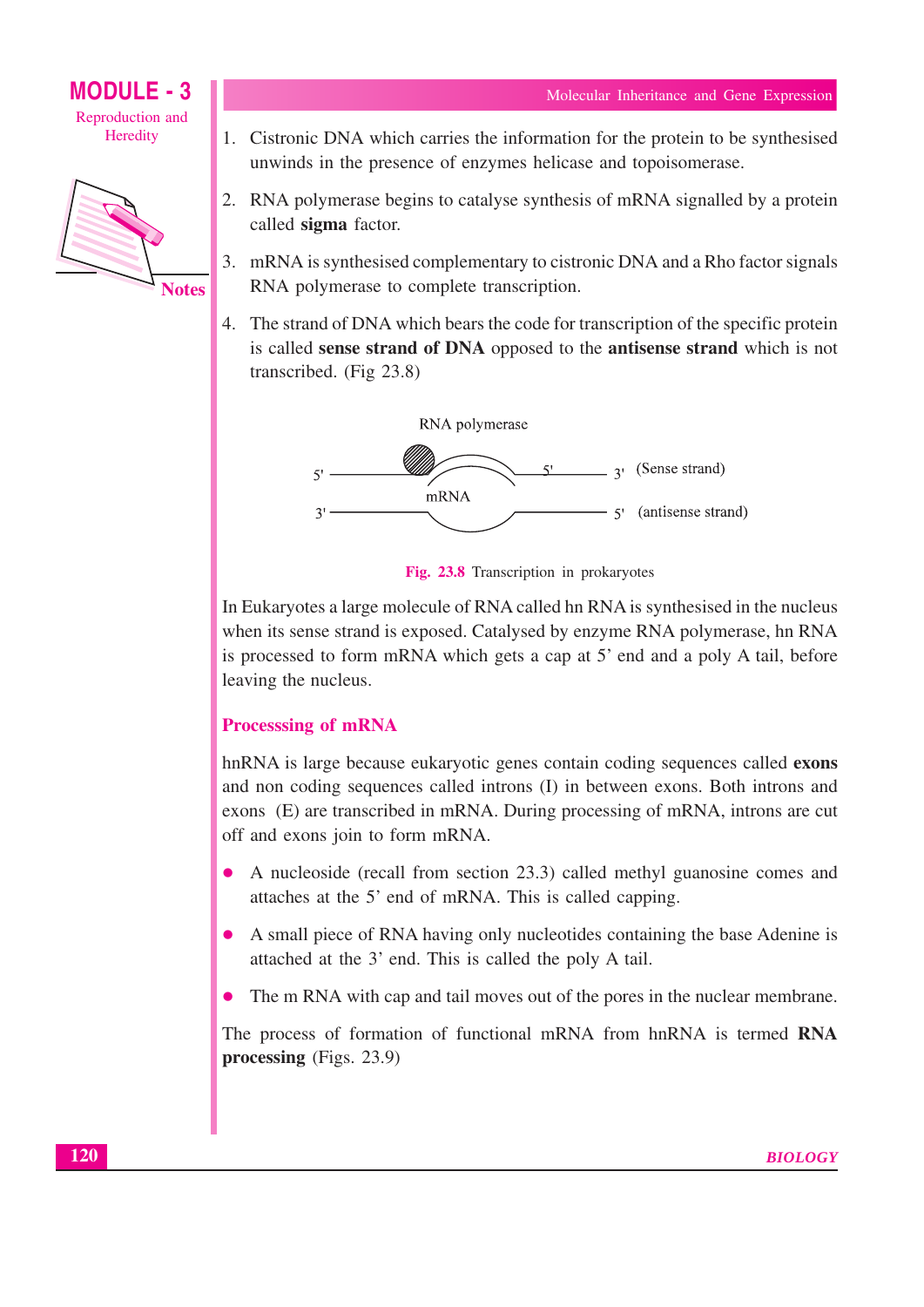

- 1. Cistronic DNA which carries the information for the protein to be synthesised unwinds in the presence of enzymes helicase and topoisomerase.
- 2. RNA polymerase begins to catalyse synthesis of mRNA signalled by a protein called sigma factor.
- 3. mRNA is synthesised complementary to cistronic DNA and a Rho factor signals RNA polymerase to complete transcription.
- 4. The strand of DNA which bears the code for transcription of the specific protein is called sense strand of DNA opposed to the antisense strand which is not transcribed. (Fig 23.8)



Fig. 23.8 Transcription in prokaryotes

In Eukaryotes a large molecule of RNA called hn RNA is synthesised in the nucleus when its sense strand is exposed. Catalysed by enzyme RNA polymerase, hn RNA is processed to form mRNA which gets a cap at 5' end and a poly A tail, before leaving the nucleus.

## **Processsing of mRNA**

hnRNA is large because eukaryotic genes contain coding sequences called exons and non coding sequences called introns (I) in between exons. Both introns and exons (E) are transcribed in mRNA. During processing of mRNA, introns are cut off and exons join to form mRNA.

- A nucleoside (recall from section 23.3) called methyl guanosine comes and attaches at the 5' end of mRNA. This is called capping.
- A small piece of RNA having only nucleotides containing the base Adenine is  $\bullet$ attached at the 3' end. This is called the poly A tail.
- The m RNA with cap and tail moves out of the pores in the nuclear membrane.  $\bullet$

The process of formation of functional mRNA from hnRNA is termed RNA processing  $(Figs. 23.9)$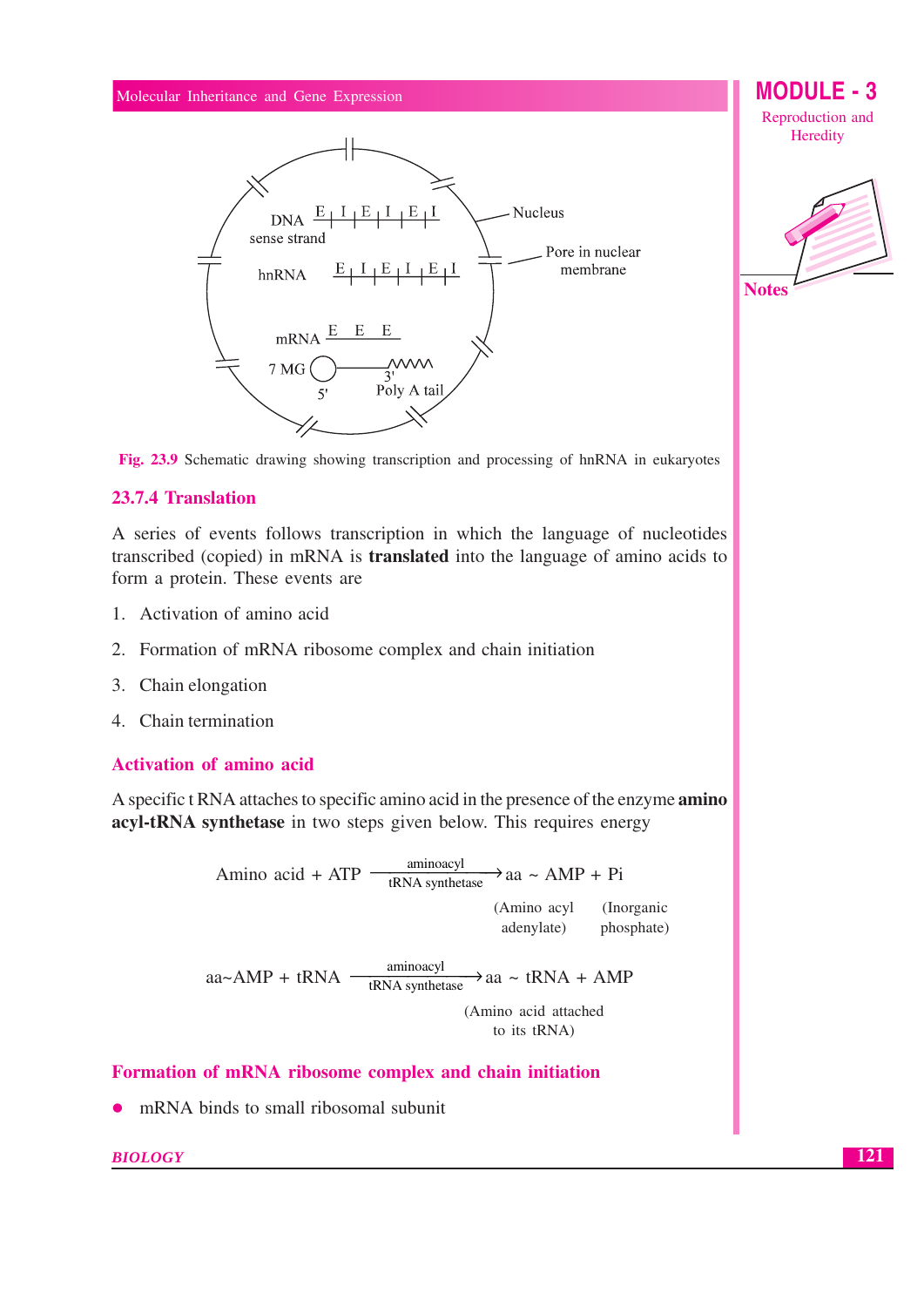

**MODULE - 3** Reproduction and Heredity





#### 23.7.4 Translation

A series of events follows transcription in which the language of nucleotides transcribed (copied) in mRNA is **translated** into the language of amino acids to form a protein. These events are

- 1. Activation of amino acid
- 2. Formation of mRNA ribosome complex and chain initiation
- 3. Chain elongation
- 4. Chain termination

#### **Activation of amino acid**

A specific t RNA attaches to specific amino acid in the presence of the enzyme amino acyl-tRNA synthetase in two steps given below. This requires energy

> Amino acid + ATP  $\frac{\text{aminoacyl}}{\text{tRNA synthetase}}$  a ~ AMP + Pi (Amino acyl (Inorganic adenvlate) phosphate)  $aa \sim AMP + tRNA$   $\frac{\text{aminoacyl}}{\text{tRNA}$  synthetase  $\rightarrow$ aa ~ tRNA + AMP (Amino acid attached to its tRNA)

Formation of mRNA ribosome complex and chain initiation

mRNA binds to small ribosomal subunit  $\bullet$ 

#### **BIOLOGY**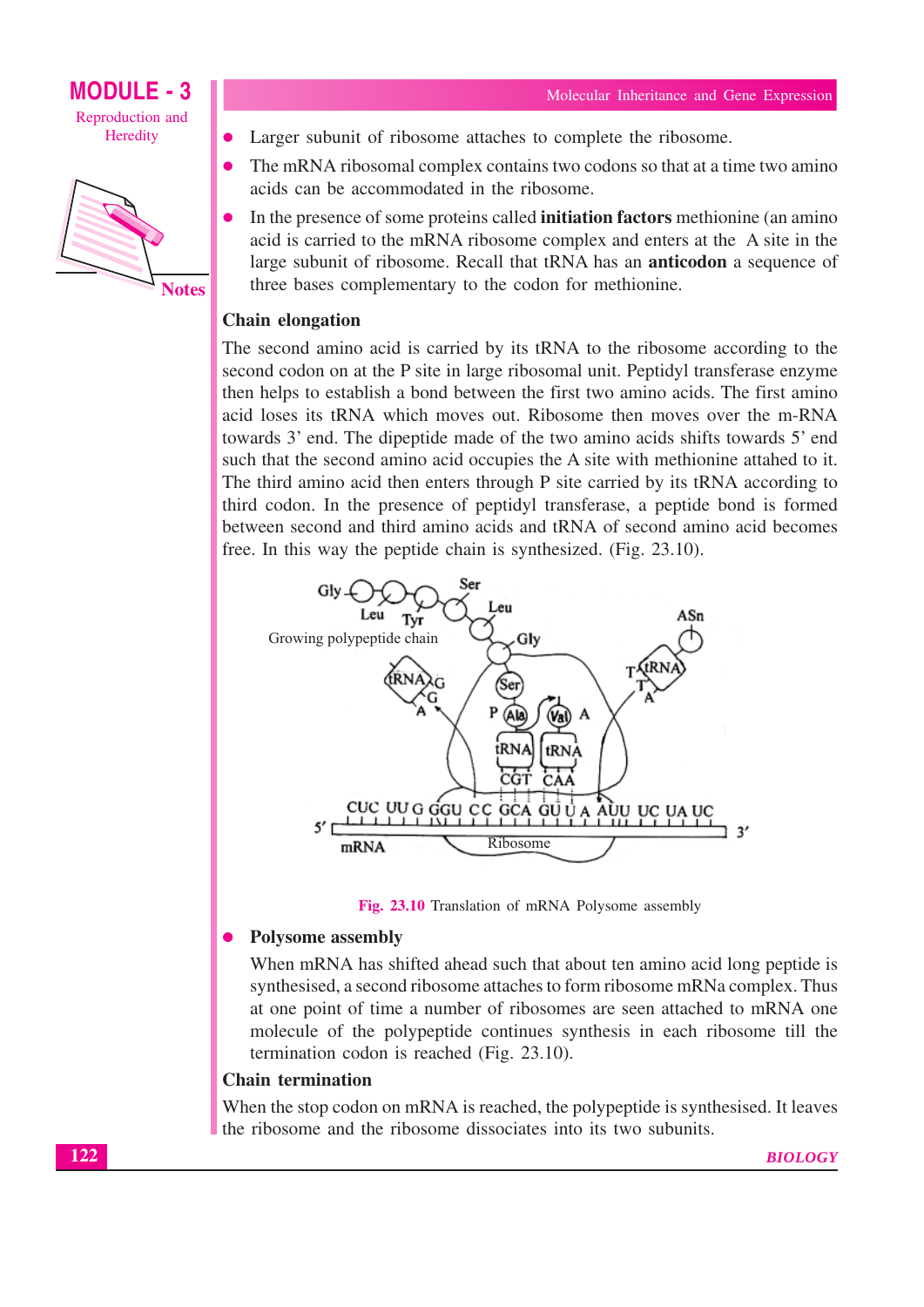



Larger subunit of ribosome attaches to complete the ribosome.

- The mRNA ribosomal complex contains two codons so that at a time two amino acids can be accommodated in the ribosome.
- In the presence of some proteins called **initiation factors** methionine (an amino acid is carried to the mRNA ribosome complex and enters at the A site in the large subunit of ribosome. Recall that tRNA has an **anticodon** a sequence of three bases complementary to the codon for methionine.

#### **Chain elongation**

The second amino acid is carried by its tRNA to the ribosome according to the second codon on at the P site in large ribosomal unit. Peptidyl transferase enzyme then helps to establish a bond between the first two amino acids. The first amino acid loses its tRNA which moves out. Ribosome then moves over the m-RNA towards 3' end. The dipeptide made of the two amino acids shifts towards 5' end such that the second amino acid occupies the A site with methionine attahed to it. The third amino acid then enters through P site carried by its tRNA according to third codon. In the presence of peptidyl transferase, a peptide bond is formed between second and third amino acids and tRNA of second amino acid becomes free. In this way the peptide chain is synthesized. (Fig. 23.10).





#### **Polysome assembly**  $\bullet$

When mRNA has shifted ahead such that about ten amino acid long peptide is synthesised, a second ribosome attaches to form ribosome mRNa complex. Thus at one point of time a number of ribosomes are seen attached to mRNA one molecule of the polypeptide continues synthesis in each ribosome till the termination codon is reached (Fig. 23.10).

#### **Chain termination**

When the stop codon on mRNA is reached, the polypeptide is synthesised. It leaves the ribosome and the ribosome dissociates into its two subunits.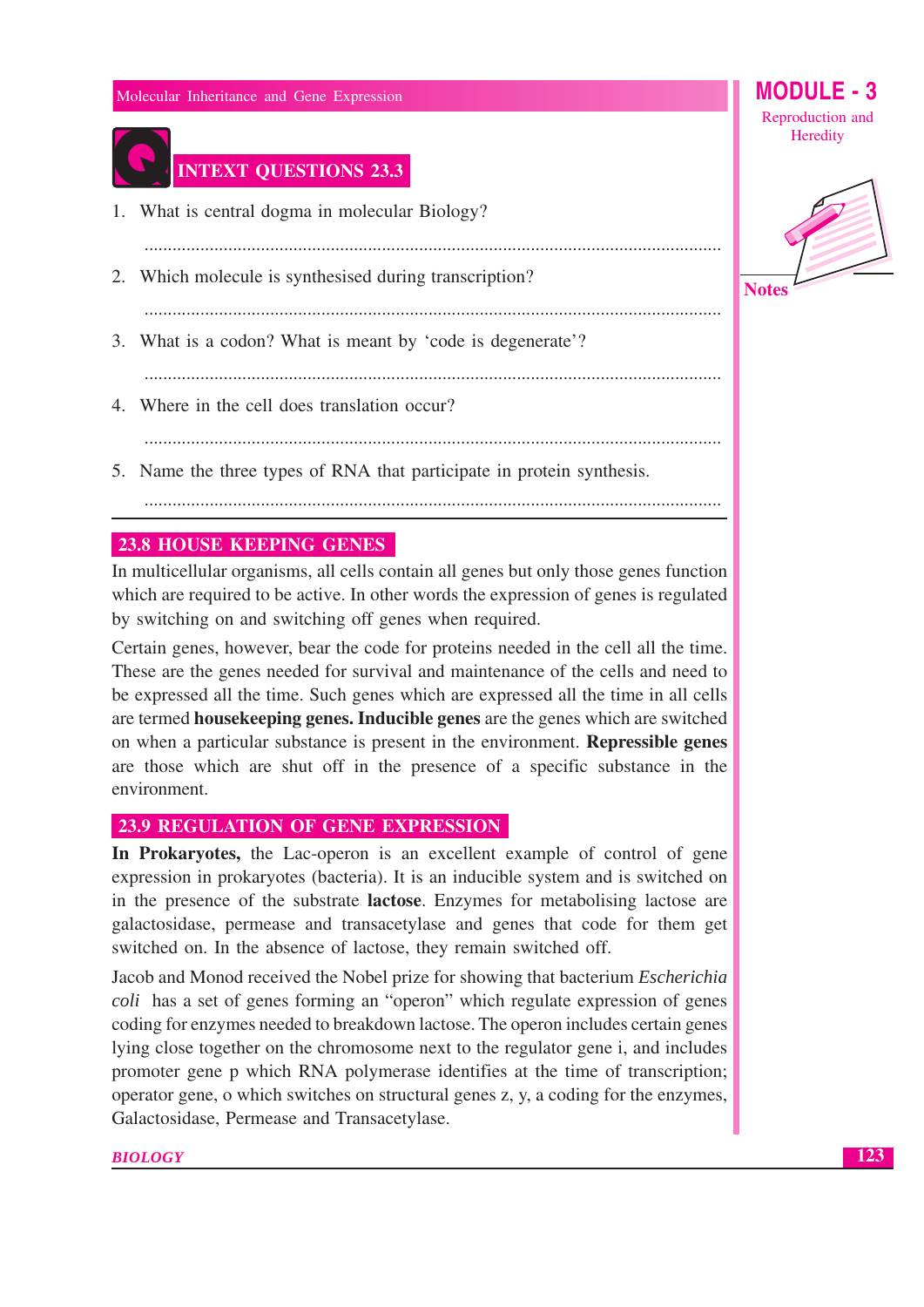

## **INTEXT QUESTIONS 23.3**

- 1. What is central dogma in molecular Biology?
- 2. Which molecule is synthesised during transcription?
- 

- 3. What is a codon? What is meant by 'code is degenerate'?
	-
- 4. Where in the cell does translation occur?
- 
- 5. Name the three types of RNA that participate in protein synthesis.
	-

### **23.8 HOUSE KEEPING GENES**

In multicellular organisms, all cells contain all genes but only those genes function which are required to be active. In other words the expression of genes is regulated by switching on and switching off genes when required.

Certain genes, however, bear the code for proteins needed in the cell all the time. These are the genes needed for survival and maintenance of the cells and need to be expressed all the time. Such genes which are expressed all the time in all cells are termed house keeping genes. Inducible genes are the genes which are switched on when a particular substance is present in the environment. **Repressible genes** are those which are shut off in the presence of a specific substance in the environment.

### **23.9 REGULATION OF GENE EXPRESSION**

In Prokaryotes, the Lac-operon is an excellent example of control of gene expression in prokaryotes (bacteria). It is an inducible system and is switched on in the presence of the substrate **lactose**. Enzymes for metabolising lactose are galactosidase, permease and transacetylase and genes that code for them get switched on. In the absence of lactose, they remain switched off.

Jacob and Monod received the Nobel prize for showing that bacterium *Escherichia coli* has a set of genes forming an "operon" which regulate expression of genes coding for enzymes needed to breakdown lactose. The operon includes certain genes lying close together on the chromosome next to the regulator gene i, and includes promoter gene p which RNA polymerase identifies at the time of transcription; operator gene, o which switches on structural genes z, y, a coding for the enzymes, Galactosidase, Permease and Transacetylase.



MODULE - 3

Reproduction and

**Notes**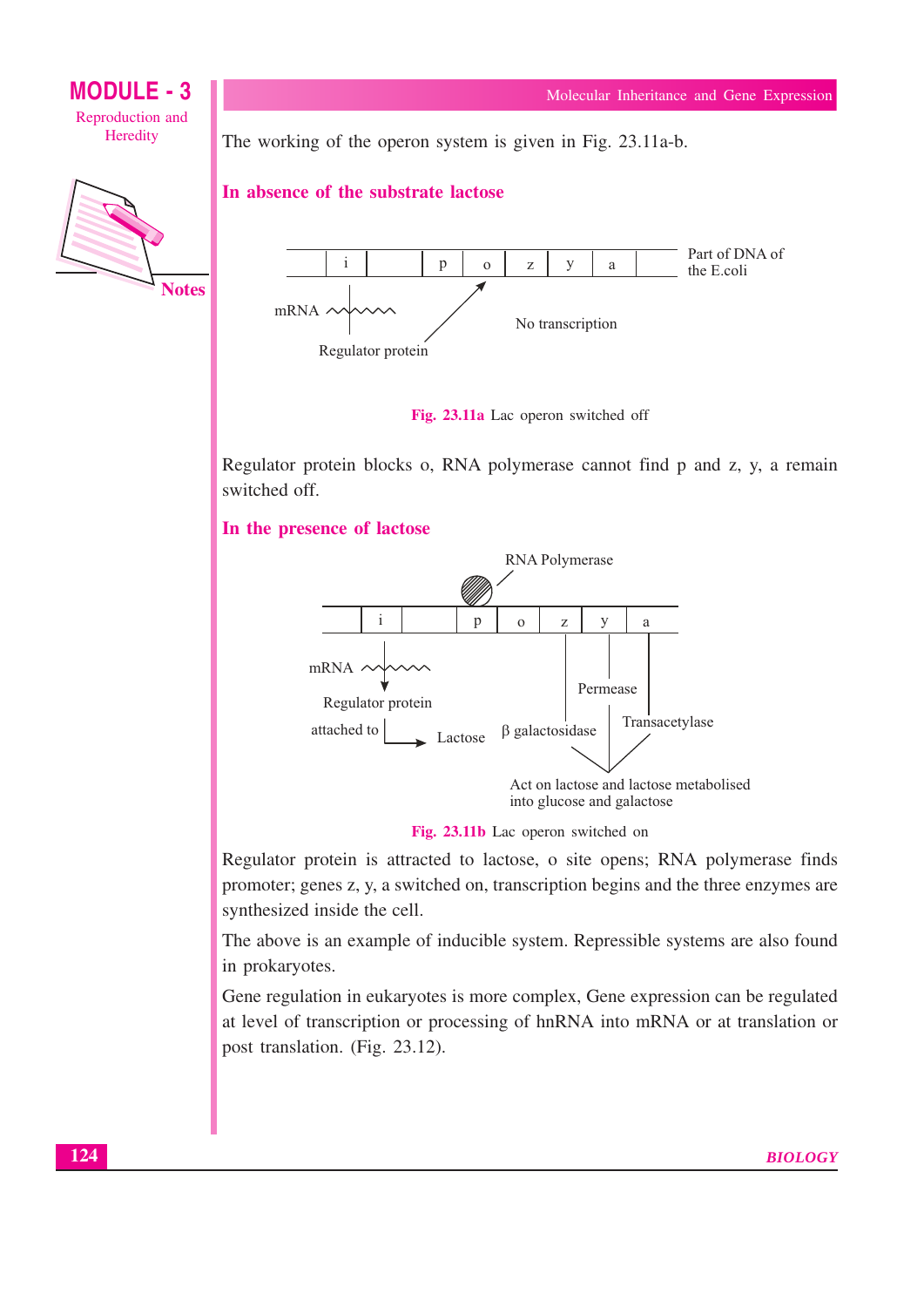

The working of the operon system is given in Fig. 23.11a-b.

#### In absence of the substrate lactose





Regulator protein blocks o, RNA polymerase cannot find p and z, y, a remain switched off.





Fig. 23.11b Lac operon switched on

Regulator protein is attracted to lactose, o site opens; RNA polymerase finds promoter; genes z, y, a switched on, transcription begins and the three enzymes are synthesized inside the cell.

The above is an example of inducible system. Repressible systems are also found in prokaryotes.

Gene regulation in eukaryotes is more complex, Gene expression can be regulated at level of transcription or processing of hnRNA into mRNA or at translation or post translation. (Fig. 23.12).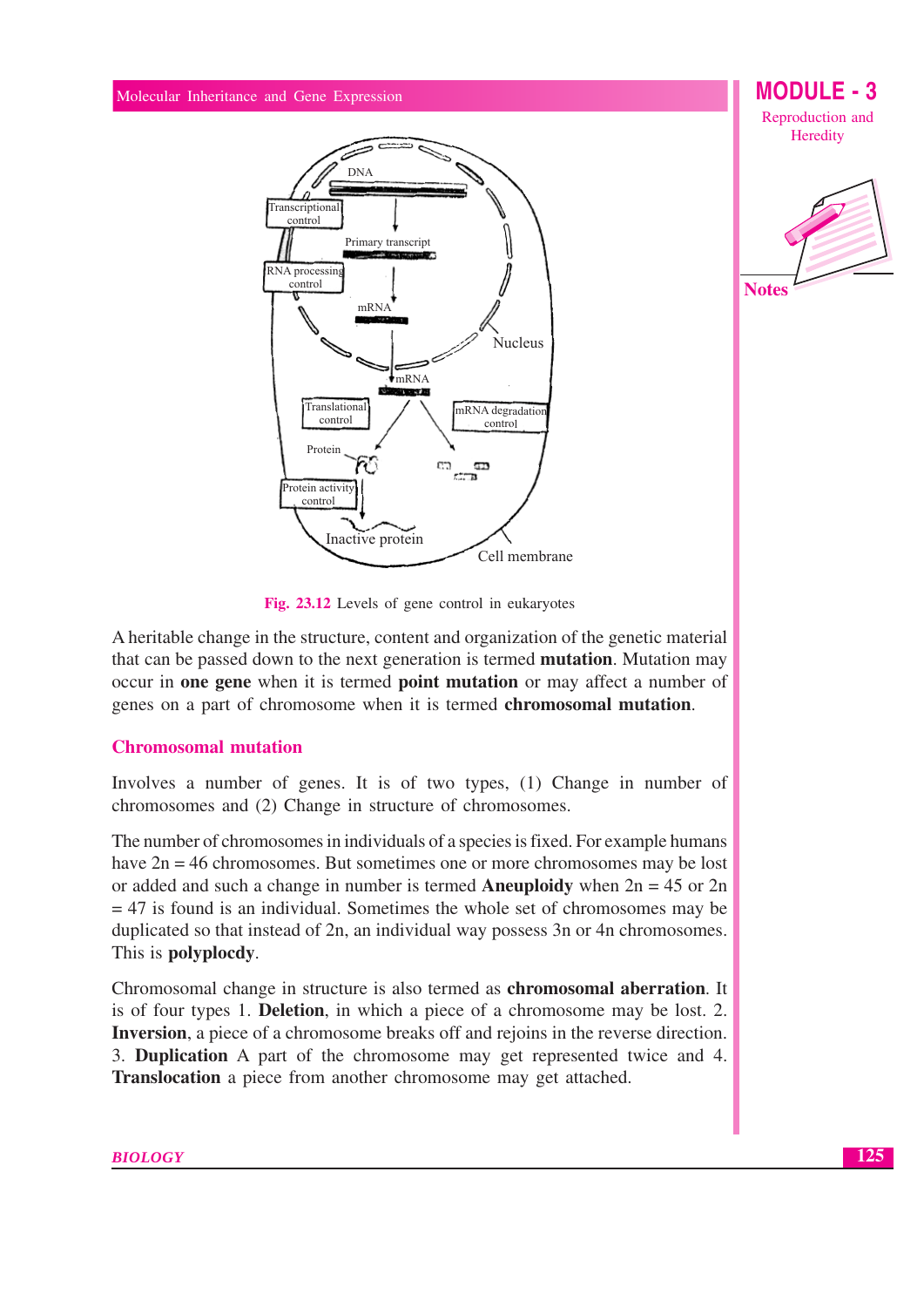





Fig. 23.12 Levels of gene control in eukaryotes

A heritable change in the structure, content and organization of the genetic material that can be passed down to the next generation is termed **mutation**. Mutation may occur in one gene when it is termed point mutation or may affect a number of genes on a part of chromosome when it is termed chromosomal mutation.

### **Chromosomal mutation**

Involves a number of genes. It is of two types, (1) Change in number of chromosomes and (2) Change in structure of chromosomes.

The number of chromosomes in individuals of a species is fixed. For example humans have  $2n = 46$  chromosomes. But sometimes one or more chromosomes may be lost or added and such a change in number is termed **Aneuploidy** when  $2n = 45$  or  $2n$  $=$  47 is found is an individual. Sometimes the whole set of chromosomes may be duplicated so that instead of 2n, an individual way possess 3n or 4n chromosomes. This is polyplocdy.

Chromosomal change in structure is also termed as **chromosomal aberration**. It is of four types 1. **Deletion**, in which a piece of a chromosome may be lost. 2. **Inversion**, a piece of a chromosome breaks off and rejoins in the reverse direction. 3. Duplication A part of the chromosome may get represented twice and 4. Translocation a piece from another chromosome may get attached.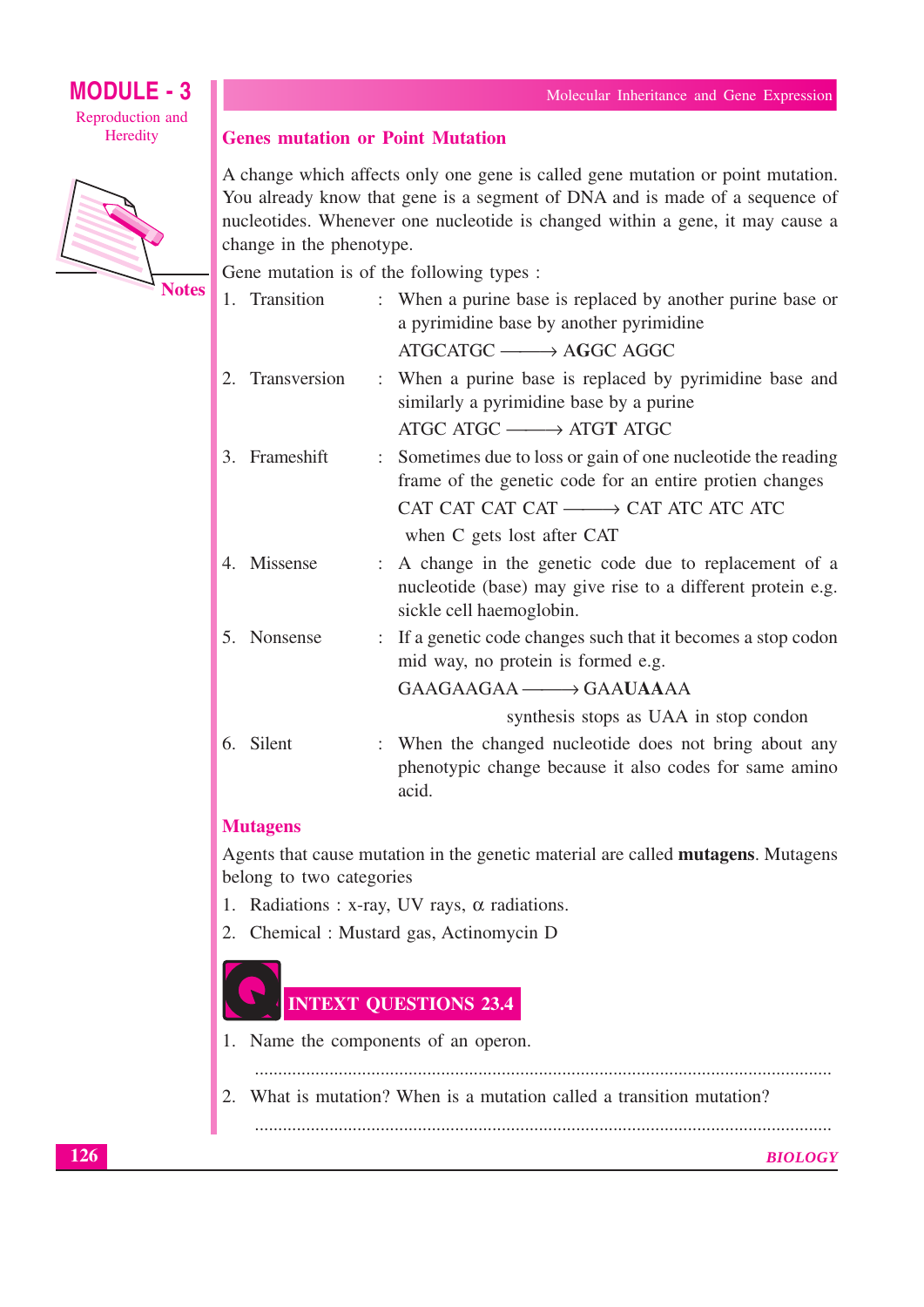## **MODULE - 3** Reproduction and





| <b>Genes mutation or Point Mutation</b> |  |
|-----------------------------------------|--|
|-----------------------------------------|--|

A change which affects only one gene is called gene mutation or point mutation. You already know that gene is a segment of DNA and is made of a sequence of nucleotides. Whenever one nucleotide is changed within a gene, it may cause a change in the phenotype.

Gene mutation is of the following types :

| 1. Transition   | : When a purine base is replaced by another purine base or<br>a pyrimidine base by another pyrimidine                                           |
|-----------------|-------------------------------------------------------------------------------------------------------------------------------------------------|
|                 | ATGCATGC - AGGC AGGC                                                                                                                            |
| 2. Transversion | : When a purine base is replaced by pyrimidine base and<br>similarly a pyrimidine base by a purine                                              |
|                 | ATGC ATGC $\longrightarrow$ ATGT ATGC                                                                                                           |
| 3. Frameshift   | : Sometimes due to loss or gain of one nucleotide the reading<br>frame of the genetic code for an entire protien changes                        |
|                 | CAT CAT CAT CAT — CAT ATC ATC ATC                                                                                                               |
|                 | when C gets lost after CAT                                                                                                                      |
| 4. Missense     | A change in the genetic code due to replacement of a<br>nucleotide (base) may give rise to a different protein e.g.<br>sickle cell haemoglobin. |
| 5. Nonsense     | : If a genetic code changes such that it becomes a stop codon<br>mid way, no protein is formed e.g.                                             |
|                 | $GAAGAAGAA \longrightarrow GAAUAAA$                                                                                                             |
|                 | synthesis stops as UAA in stop condon                                                                                                           |
| 6. Silent       | : When the changed nucleotide does not bring about any<br>phenotypic change because it also codes for same amino<br>acid.                       |

## **Mutagens**

Agents that cause mutation in the genetic material are called mutagens. Mutagens belong to two categories

- 1. Radiations : x-ray, UV rays,  $\alpha$  radiations.
- 2. Chemical : Mustard gas, Actinomycin D



- 1. Name the components of an operon.
	-
- 2. What is mutation? When is a mutation called a transition mutation?

**BIOLOGY**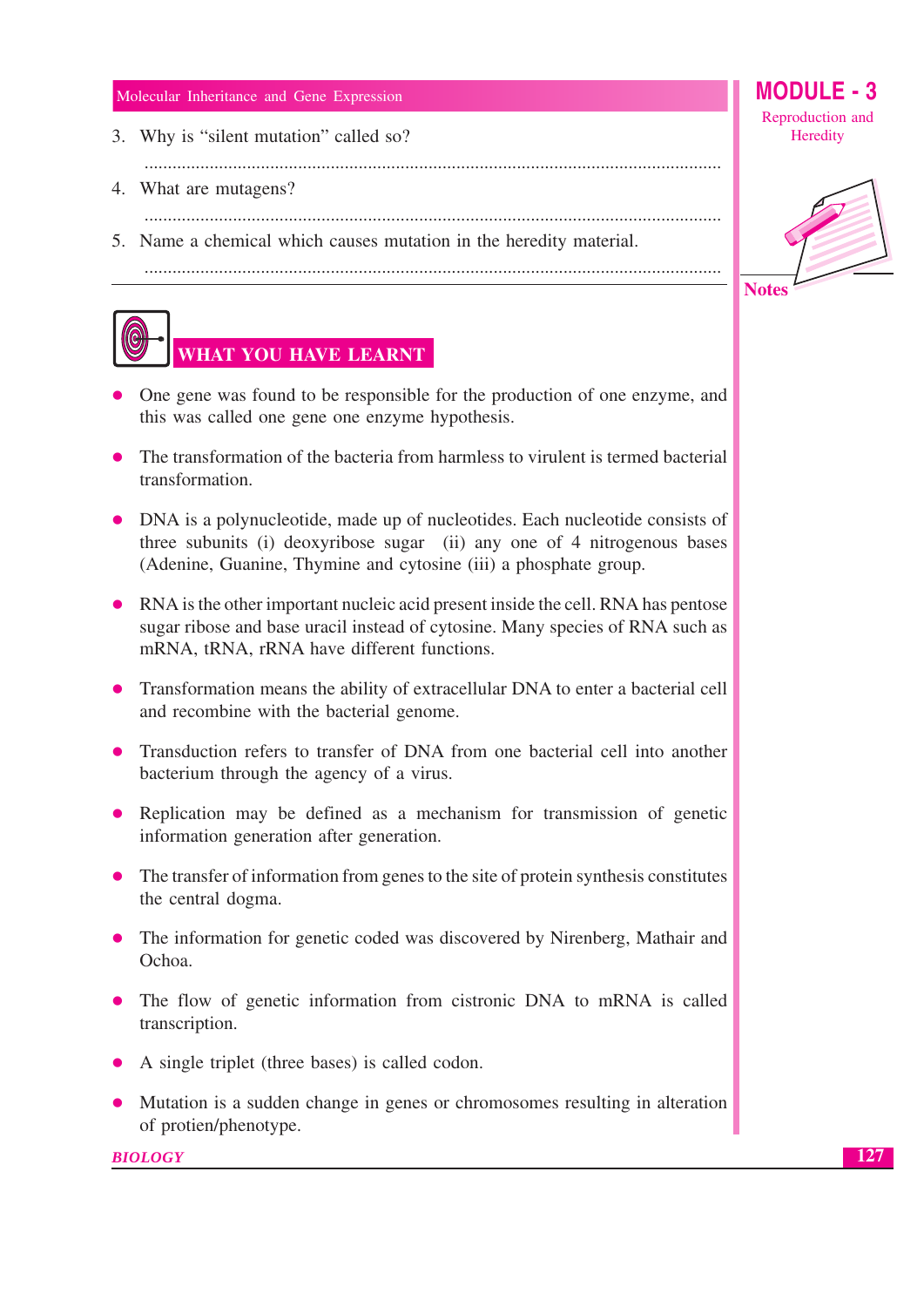- 3. Why is "silent mutation" called so?
	-
- 4. What are mutagens?
- 
- 5. Name a chemical which causes mutation in the heredity material.



- One gene was found to be responsible for the production of one enzyme, and this was called one gene one enzyme hypothesis.
- The transformation of the bacteria from harmless to virulent is termed bacterial transformation.
- DNA is a polynucleotide, made up of nucleotides. Each nucleotide consists of three subunits (i) deoxyribose sugar (ii) any one of 4 nitrogenous bases (Adenine, Guanine, Thymine and cytosine (iii) a phosphate group.
- RNA is the other important nucleic acid present inside the cell. RNA has pentose sugar ribose and base uracil instead of cytosine. Many species of RNA such as mRNA, tRNA, rRNA have different functions.
- Transformation means the ability of extracellular DNA to enter a bacterial cell and recombine with the bacterial genome.
- Transduction refers to transfer of DNA from one bacterial cell into another bacterium through the agency of a virus.
- Replication may be defined as a mechanism for transmission of genetic information generation after generation.
- The transfer of information from genes to the site of protein synthesis constitutes the central dogma.
- The information for genetic coded was discovered by Nirenberg, Mathair and Ochoa.
- The flow of genetic information from cistronic DNA to mRNA is called transcription.
- A single triplet (three bases) is called codon.
- Mutation is a sudden change in genes or chromosomes resulting in alteration of protien/phenotype.

**BIOLOGY** 

MODULE -  $3$ Reproduction and Heredity



**Notes**